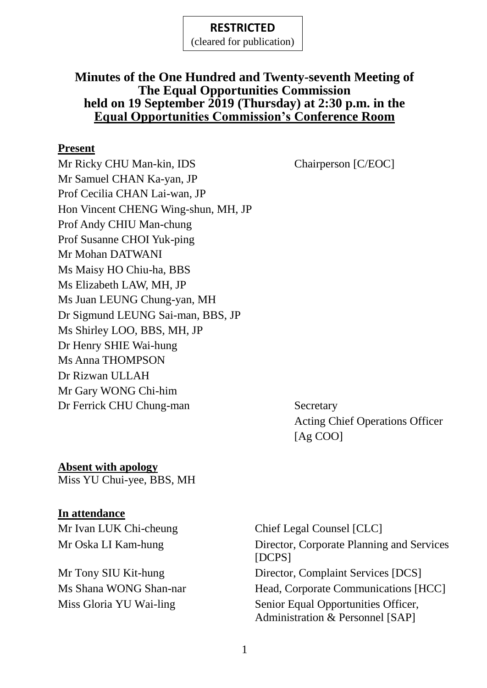(cleared for publication)

#### **Minutes of the One Hundred and Twenty-seventh Meeting of The Equal Opportunities Commission held on 19 September 2019 (Thursday) at 2:30 p.m. in the Equal Opportunities Commission's Conference Room**

#### **Present**

Mr Ricky CHU Man-kin, IDS Chairperson [C/EOC] Mr Samuel CHAN Ka-yan, JP Prof Cecilia CHAN Lai-wan, JP Hon Vincent CHENG Wing-shun, MH, JP Prof Andy CHIU Man-chung Prof Susanne CHOI Yuk-ping Mr Mohan DATWANI Ms Maisy HO Chiu-ha, BBS Ms Elizabeth LAW, MH, JP Ms Juan LEUNG Chung-yan, MH Dr Sigmund LEUNG Sai-man, BBS, JP Ms Shirley LOO, BBS, MH, JP Dr Henry SHIE Wai-hung Ms Anna THOMPSON Dr Rizwan ULLAH Mr Gary WONG Chi-him Dr Ferrick CHU Chung-man Secretary

Acting Chief Operations Officer [Ag COO]

**Absent with apology** Miss YU Chui-yee, BBS, MH

#### **In attendance**

Mr Ivan LUK Chi-cheung Chief Legal Counsel [CLC]

Mr Oska LI Kam-hung Director, Corporate Planning and Services [DCPS] Mr Tony SIU Kit-hung Director, Complaint Services [DCS] Ms Shana WONG Shan-nar Head, Corporate Communications [HCC] Miss Gloria YU Wai-ling Senior Equal Opportunities Officer, Administration & Personnel [SAP]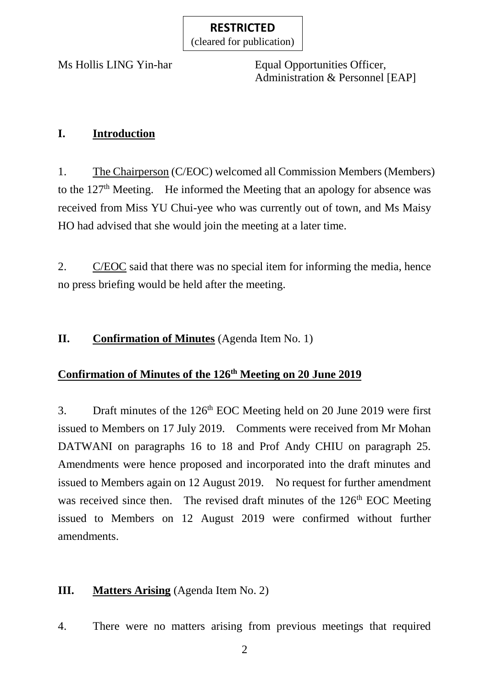(cleared for publication)

Ms Hollis LING Yin-har Equal Opportunities Officer, Administration & Personnel [EAP]

## **I. Introduction**

1. The Chairperson (C/EOC) welcomed all Commission Members (Members) to the  $127<sup>th</sup>$  Meeting. He informed the Meeting that an apology for absence was received from Miss YU Chui-yee who was currently out of town, and Ms Maisy HO had advised that she would join the meeting at a later time.

2. C/EOC said that there was no special item for informing the media, hence no press briefing would be held after the meeting.

## **II.** Confirmation of Minutes (Agenda Item No. 1)

# **Confirmation of Minutes of the 126 th Meeting on 20 June 2019**

3. Draft minutes of the  $126<sup>th</sup>$  EOC Meeting held on 20 June 2019 were first issued to Members on 17 July 2019. Comments were received from Mr Mohan DATWANI on paragraphs 16 to 18 and Prof Andy CHIU on paragraph 25. Amendments were hence proposed and incorporated into the draft minutes and issued to Members again on 12 August 2019. No request for further amendment was received since then. The revised draft minutes of the 126<sup>th</sup> EOC Meeting issued to Members on 12 August 2019 were confirmed without further amendments.

# **III. Matters Arising** (Agenda Item No. 2)

4. There were no matters arising from previous meetings that required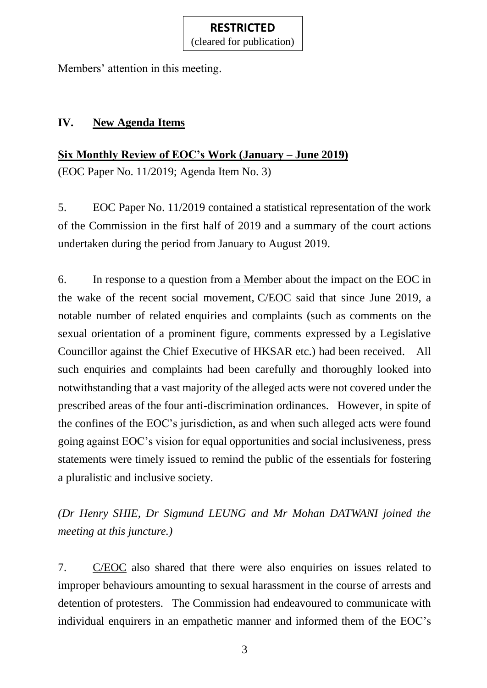(cleared for publication)

Members' attention in this meeting.

## **IV. New Agenda Items**

**Six Monthly Review of EOC's Work (January – June 2019)** (EOC Paper No. 11/2019; Agenda Item No. 3)

5. EOC Paper No. 11/2019 contained a statistical representation of the work of the Commission in the first half of 2019 and a summary of the court actions undertaken during the period from January to August 2019.

6. In response to a question from a Member about the impact on the EOC in the wake of the recent social movement, C/EOC said that since June 2019, a notable number of related enquiries and complaints (such as comments on the sexual orientation of a prominent figure, comments expressed by a Legislative Councillor against the Chief Executive of HKSAR etc.) had been received. All such enquiries and complaints had been carefully and thoroughly looked into notwithstanding that a vast majority of the alleged acts were not covered under the prescribed areas of the four anti-discrimination ordinances. However, in spite of the confines of the EOC's jurisdiction, as and when such alleged acts were found going against EOC's vision for equal opportunities and social inclusiveness, press statements were timely issued to remind the public of the essentials for fostering a pluralistic and inclusive society.

*(Dr Henry SHIE, Dr Sigmund LEUNG and Mr Mohan DATWANI joined the meeting at this juncture.)*

7. C/EOC also shared that there were also enquiries on issues related to improper behaviours amounting to sexual harassment in the course of arrests and detention of protesters. The Commission had endeavoured to communicate with individual enquirers in an empathetic manner and informed them of the EOC's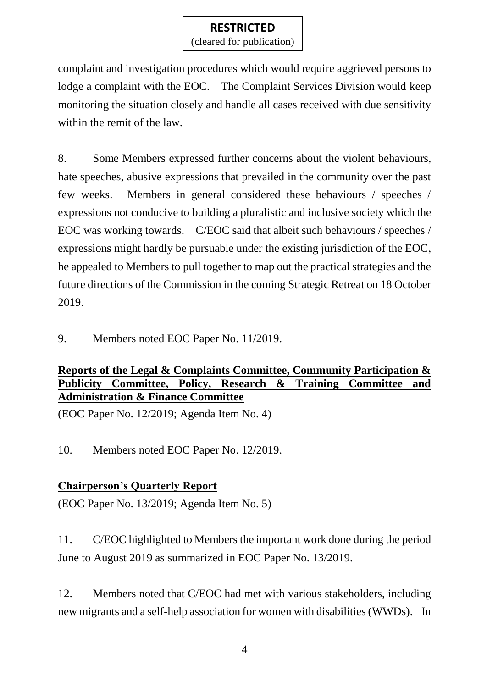(cleared for publication)

complaint and investigation procedures which would require aggrieved persons to lodge a complaint with the EOC. The Complaint Services Division would keep monitoring the situation closely and handle all cases received with due sensitivity within the remit of the law.

8. Some Members expressed further concerns about the violent behaviours, hate speeches, abusive expressions that prevailed in the community over the past few weeks. Members in general considered these behaviours / speeches / expressions not conducive to building a pluralistic and inclusive society which the EOC was working towards. C/EOC said that albeit such behaviours / speeches / expressions might hardly be pursuable under the existing jurisdiction of the EOC, he appealed to Members to pull together to map out the practical strategies and the future directions of the Commission in the coming Strategic Retreat on 18 October 2019.

9. Members noted EOC Paper No. 11/2019.

## **Reports of the Legal & Complaints Committee, Community Participation & Publicity Committee, Policy, Research & Training Committee and Administration & Finance Committee**

(EOC Paper No. 12/2019; Agenda Item No. 4)

10. Members noted EOC Paper No. 12/2019.

## **Chairperson's Quarterly Report**

(EOC Paper No. 13/2019; Agenda Item No. 5)

11. C/EOC highlighted to Members the important work done during the period June to August 2019 as summarized in EOC Paper No. 13/2019.

12. Members noted that C/EOC had met with various stakeholders, including new migrants and a self-help association for women with disabilities (WWDs). In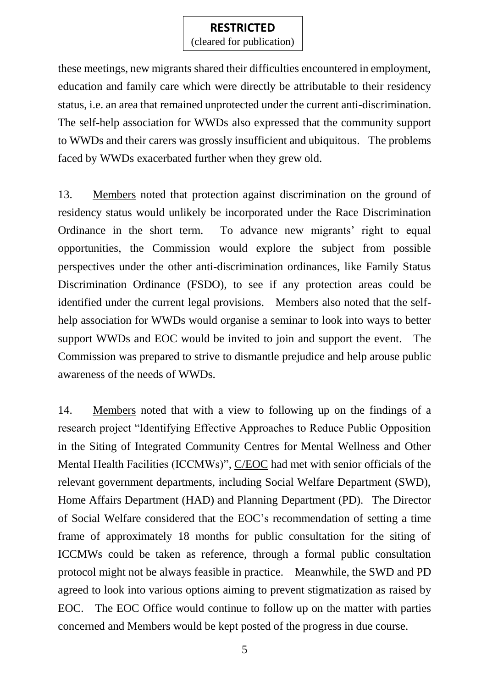(cleared for publication)

these meetings, new migrants shared their difficulties encountered in employment, education and family care which were directly be attributable to their residency status, i.e. an area that remained unprotected under the current anti-discrimination. The self-help association for WWDs also expressed that the community support to WWDs and their carers was grossly insufficient and ubiquitous. The problems faced by WWDs exacerbated further when they grew old.

13. Members noted that protection against discrimination on the ground of residency status would unlikely be incorporated under the Race Discrimination Ordinance in the short term. To advance new migrants' right to equal opportunities, the Commission would explore the subject from possible perspectives under the other anti-discrimination ordinances, like Family Status Discrimination Ordinance (FSDO), to see if any protection areas could be identified under the current legal provisions. Members also noted that the selfhelp association for WWDs would organise a seminar to look into ways to better support WWDs and EOC would be invited to join and support the event. The Commission was prepared to strive to dismantle prejudice and help arouse public awareness of the needs of WWDs.

14. Members noted that with a view to following up on the findings of a research project "Identifying Effective Approaches to Reduce Public Opposition in the Siting of Integrated Community Centres for Mental Wellness and Other Mental Health Facilities (ICCMWs)", C/EOC had met with senior officials of the relevant government departments, including Social Welfare Department (SWD), Home Affairs Department (HAD) and Planning Department (PD). The Director of Social Welfare considered that the EOC's recommendation of setting a time frame of approximately 18 months for public consultation for the siting of ICCMWs could be taken as reference, through a formal public consultation protocol might not be always feasible in practice. Meanwhile, the SWD and PD agreed to look into various options aiming to prevent stigmatization as raised by EOC. The EOC Office would continue to follow up on the matter with parties concerned and Members would be kept posted of the progress in due course.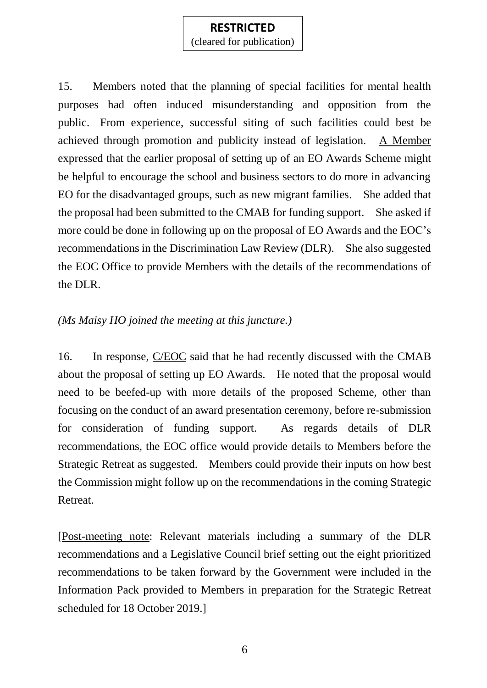(cleared for publication)

15. Members noted that the planning of special facilities for mental health purposes had often induced misunderstanding and opposition from the public. From experience, successful siting of such facilities could best be achieved through promotion and publicity instead of legislation. A Member expressed that the earlier proposal of setting up of an EO Awards Scheme might be helpful to encourage the school and business sectors to do more in advancing EO for the disadvantaged groups, such as new migrant families. She added that the proposal had been submitted to the CMAB for funding support. She asked if more could be done in following up on the proposal of EO Awards and the EOC's recommendations in the Discrimination Law Review (DLR). She also suggested the EOC Office to provide Members with the details of the recommendations of the DLR.

#### *(Ms Maisy HO joined the meeting at this juncture.)*

16. In response, C/EOC said that he had recently discussed with the CMAB about the proposal of setting up EO Awards. He noted that the proposal would need to be beefed-up with more details of the proposed Scheme, other than focusing on the conduct of an award presentation ceremony, before re-submission for consideration of funding support. As regards details of DLR recommendations, the EOC office would provide details to Members before the Strategic Retreat as suggested. Members could provide their inputs on how best the Commission might follow up on the recommendations in the coming Strategic Retreat.

[Post-meeting note: Relevant materials including a summary of the DLR recommendations and a Legislative Council brief setting out the eight prioritized recommendations to be taken forward by the Government were included in the Information Pack provided to Members in preparation for the Strategic Retreat scheduled for 18 October 2019.]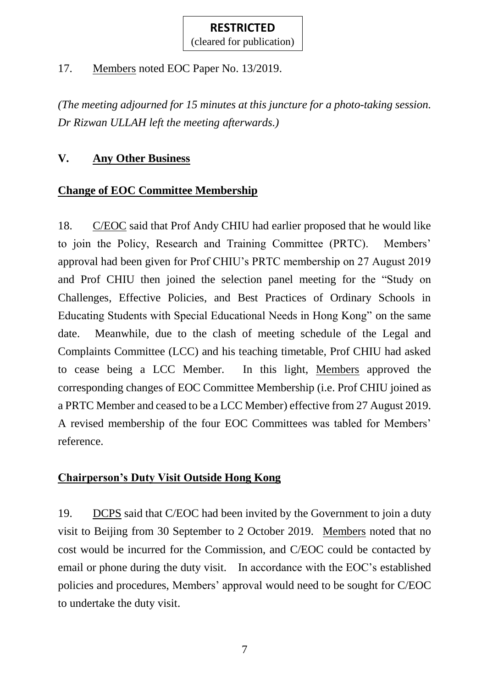(cleared for publication)

17. Members noted EOC Paper No. 13/2019.

*(The meeting adjourned for 15 minutes at this juncture for a photo-taking session. Dr Rizwan ULLAH left the meeting afterwards.)*

## **V. Any Other Business**

## **Change of EOC Committee Membership**

18. C/EOC said that Prof Andy CHIU had earlier proposed that he would like to join the Policy, Research and Training Committee (PRTC). Members' approval had been given for Prof CHIU's PRTC membership on 27 August 2019 and Prof CHIU then joined the selection panel meeting for the "Study on Challenges, Effective Policies, and Best Practices of Ordinary Schools in Educating Students with Special Educational Needs in Hong Kong" on the same date. Meanwhile, due to the clash of meeting schedule of the Legal and Complaints Committee (LCC) and his teaching timetable, Prof CHIU had asked to cease being a LCC Member. In this light, Members approved the corresponding changes of EOC Committee Membership (i.e. Prof CHIU joined as a PRTC Member and ceased to be a LCC Member) effective from 27 August 2019. A revised membership of the four EOC Committees was tabled for Members' reference.

## **Chairperson's Duty Visit Outside Hong Kong**

19. DCPS said that C/EOC had been invited by the Government to join a duty visit to Beijing from 30 September to 2 October 2019. Members noted that no cost would be incurred for the Commission, and C/EOC could be contacted by email or phone during the duty visit. In accordance with the EOC's established policies and procedures, Members' approval would need to be sought for C/EOC to undertake the duty visit.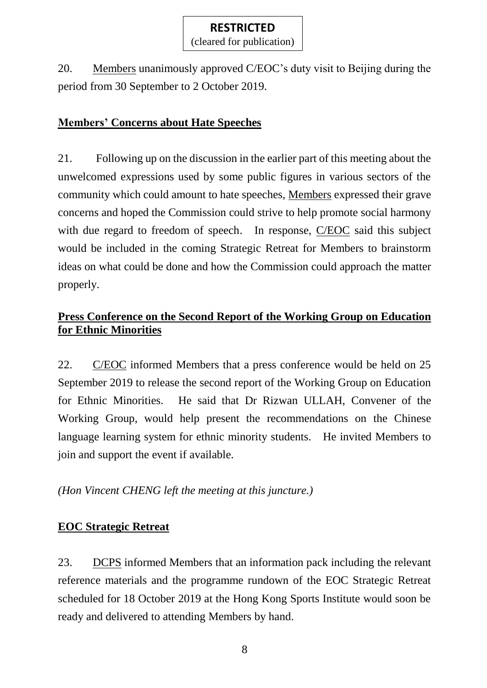(cleared for publication)

20. Members unanimously approved C/EOC's duty visit to Beijing during the period from 30 September to 2 October 2019.

## **Members' Concerns about Hate Speeches**

21. Following up on the discussion in the earlier part of this meeting about the unwelcomed expressions used by some public figures in various sectors of the community which could amount to hate speeches, Members expressed their grave concerns and hoped the Commission could strive to help promote social harmony with due regard to freedom of speech. In response, C/EOC said this subject would be included in the coming Strategic Retreat for Members to brainstorm ideas on what could be done and how the Commission could approach the matter properly.

## **Press Conference on the Second Report of the Working Group on Education for Ethnic Minorities**

22. C/EOC informed Members that a press conference would be held on 25 September 2019 to release the second report of the Working Group on Education for Ethnic Minorities. He said that Dr Rizwan ULLAH, Convener of the Working Group, would help present the recommendations on the Chinese language learning system for ethnic minority students. He invited Members to join and support the event if available.

*(Hon Vincent CHENG left the meeting at this juncture.)*

### **EOC Strategic Retreat**

23. DCPS informed Members that an information pack including the relevant reference materials and the programme rundown of the EOC Strategic Retreat scheduled for 18 October 2019 at the Hong Kong Sports Institute would soon be ready and delivered to attending Members by hand.